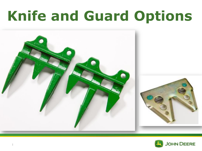# **Knife and Guard Options**



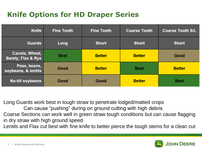## **Knife Options for HD Draper Series**

| <b>Knife</b>                                    | <b>Fine Tooth</b> | <b>Fine Tooth</b> | <b>Coarse Tooth</b> | <b>Coarse Tooth S/L</b> |
|-------------------------------------------------|-------------------|-------------------|---------------------|-------------------------|
| <b>Guards</b>                                   | Long              | <b>Short</b>      | <b>Short</b>        | <b>Short</b>            |
| Canola, Wheat,<br><b>Barely, Flax &amp; Rye</b> | <b>Best</b>       | <b>Better</b>     | <b>Better</b>       | Good                    |
| Peas, beans,<br>soybeans, & lentils             | Good              | <b>Better</b>     | <b>Best</b>         | <b>Better</b>           |
| <b>No-till soybeans</b>                         | Good              | Good              | <b>Better</b>       | <b>Best</b>             |

Long Guards work best in tough straw to penetrate lodged/matted crops Can cause "pushing" during on ground cutting with high debris Coarse Sections can work well in green straw tough conditions but can cause flagging in dry straw with high ground speed.

Lentils and Flax cut best with fine knife to better pierce the tough stems for a clean cut

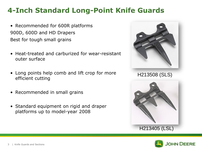#### **4-Inch Standard Long-Point Knife Guards**

- Recommended for 600R platforms 900D, 600D and HD Drapers Best for tough small grains
- Heat-treated and carburized for wear-resistant outer surface
- Long points help comb and lift crop for more efficient cutting
- Recommended in small grains
- Standard equipment on rigid and draper platforms up to model-year 2008



H213508 (SLS)



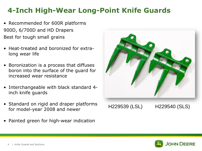#### **4-Inch High-Wear Long-Point Knife Guards**

- Recommended for 600R platforms 900D, 6/700D and HD Drapers Best for tough small grains
- Heat-treated and boronized for extralong wear life
- Boronization is a process that diffuses boron into the surface of the guard for increased wear resistance
- Interchangeable with black standard 4 inch knife guards
- Standard on rigid and draper platforms for model-year 2008 and newer
- Painted green for high-wear indication



H229539 (LSL) H229540 (SLS)

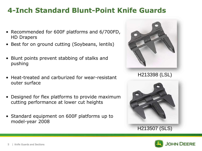#### **4-Inch Standard Blunt-Point Knife Guards**

- Recommended for 600F platforms and 6/700FD, HD Drapers
- Best for on ground cutting (Soybeans, lentils)
- Blunt points prevent stabbing of stalks and pushing
- Heat-treated and carburized for wear-resistant outer surface
- Designed for flex platforms to provide maximum cutting performance at lower cut heights
- Standard equipment on 600F platforms up to model-year 2008



H213398 (LSL)



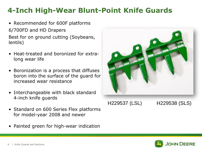#### **4-Inch High-Wear Blunt-Point Knife Guards**

- Recommended for 600F platforms 6/700FD and HD Drapers Best for on ground cutting (Soybeans, lentils)
- Heat-treated and boronized for extralong wear life
- Boronization is a process that diffuses boron into the surface of the guard for increased wear resistance
- Interchangeable with black standard 4-inch knife guards
- Standard on 600 Series Flex platforms for model-year 2008 and newer
- Painted green for high-wear indication



H229537 (LSL) H229538 (SLS)

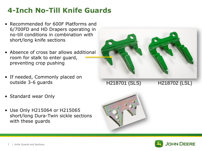# **4-Inch No-Till Knife Guards**

- Recommended for 600F Platforms and 6/700FD and HD Drapers operating in no-till conditions in combination with short/long knife sections
- Absence of cross bar allows additional room for stalk to enter guard, preventing crop pushing
- If needed, Commonly placed on outside 3-6 guards
- Standard wear Only
- Use Only H215064 or H215065 short/long Dura-Twin sickle sections with these guards



H218701 (SLS) H218702 (LSL)



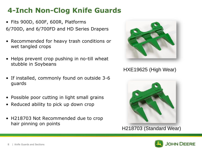# **4-Inch Non-Clog Knife Guards**

- Fits 900D, 600F, 600R, Platforms 6/700D, and 6/700FD and HD Series Drapers
- Recommended for heavy trash conditions or wet tangled crops
- Helps prevent crop pushing in no-till wheat stubble in Soybeans
- If installed, commonly found on outside 3-6 guards
- Possible poor cutting in light small grains
- Reduced ability to pick up down crop
- H218703 Not Recommended due to crop hair pinning on points



#### HXE19625 (High Wear)



H218703 (Standard Wear)

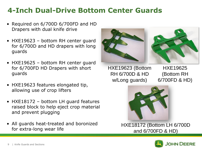#### **4-Inch Dual-Drive Bottom Center Guards**

- Required on 6/700D 6/700FD and HD Drapers with dual knife drive
- HXE19623 bottom RH center guard for 6/700D and HD drapers with long guards
- HXE19625 bottom RH center guard for 6/700FD HD Drapers with short guards
- HXE19623 features elongated tip, allowing use of crop lifters
- HXE18172 bottom LH guard features raised block to help eject crop material and prevent plugging
- All guards heat-treated and boronized for extra-long wear life





HXE19623 (Bottom RH 6/700D & HD w/Long guards)

HXE19625 (Bottom RH 6/700FD & HD)



HXE18172 (Bottom LH 6/700D and 6/700FD & HD)

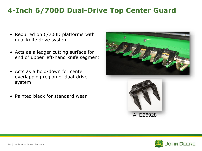#### **4-Inch 6/700D Dual-Drive Top Center Guard**

- Required on 6/700D platforms with dual knife drive system
- Acts as a ledger cutting surface for end of upper left-hand knife segment
- Acts as a hold-down for center overlapping region of dual-drive system
- Painted black for standard wear





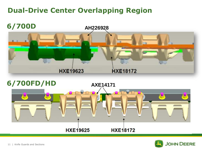# **Dual-Drive Center Overlapping Region**





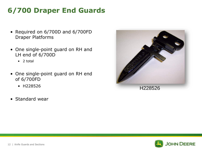# **6/700 Draper End Guards**

- Required on 6/700D and 6/700FD Draper Platforms
- One single-point guard on RH and LH end of 6/700D
	- 2 total
- One single-point guard on RH end of 6/700FD
	- H228526
- Standard wear



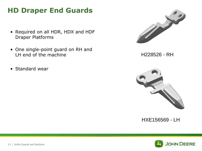#### **HD Draper End Guards**

- Required on all HDR, HDX and HDF Draper Platforms
- One single-point guard on RH and LH end of the machine
- Standard wear



H228526 - RH



HXE156569 - LH

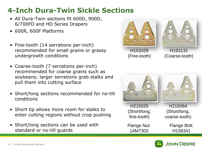# **4-Inch Dura-Twin Sickle Sections**

- All Dura-Twin sections fit 600D, 900D, 6/700FD and HD Series Drapers
- 600R, 600F Platforms
- Fine-tooth (14 serrations per-inch) recommended for small grains or grassy undergrowth conditions
- Coarse-tooth (7 serrations per-inch) recommended for coarse grains such as soybeans; larger serrations grab stalks and pull them into cutting surface
- Short/long sections recommended for no-till conditions
- Short tip allows more room for stalks to enter cutting regions without crop pushing
- Short/long sections can be used with standard or no-till guards





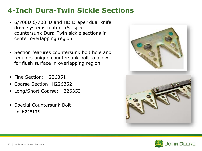# **4-Inch Dura-Twin Sickle Sections**

- 6/700D 6/700FD and HD Draper dual knife drive systems feature (5) special countersunk Dura-Twin sickle sections in center overlapping region
- Section features countersunk bolt hole and requires unique countersunk bolt to allow for flush surface in overlapping region
- Fine Section: H226351
- Coarse Section: H226352
- Long/Short Coarse: H226353
- Special Countersunk Bolt
	- H228135



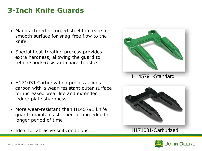## **3-Inch Knife Guards**

- Manufactured of forged steel to create a smooth surface for snag-free flow to the knife
- Special heat-treating process provides extra hardness, allowing the guard to retain shock-resistant characteristics
- H171031 Carburization process aligns carbon with a wear-resistant outer surface for increased wear life and extended ledger plate sharpness
- More wear-resistant than H145791 knife guard; maintains sharper cutting edge for longer period of time
- Ideal for abrasive soil conditions





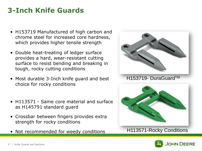## **3-Inch Knife Guards**

- H153719 Manufactured of high carbon and chrome steel for increased core hardness, which provides higher tensile strength
- Double heat-treating of ledger surface provides a hard, wear-resistant cutting surface to resist bending and breaking in tough, rocky cutting conditions
- Most durable 3-Inch knife guard and best choice for rocky conditions
- H113571 Same core material and surface as H145791 standard guard
- Crossbar between fingers provides extra strength for rocky conditions
- Not recommended for weedy conditions



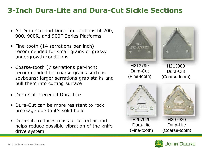#### **3-Inch Dura-Lite and Dura-Cut Sickle Sections**

- All Dura-Cut and Dura-Lite sections fit 200, 900, 900R, and 900F Series Platforms
- Fine-tooth (14 serrations per-inch) recommended for small grains or grassy undergrowth conditions
- Coarse-tooth (7 serrations per-inch) recommended for coarse grains such as soybeans; larger serrations grab stalks and pull them into cutting surface
- Dura-Cut preceded Dura-Lite
- Dura-Cut can be more resistant to rock breakage due to it's solid build
- Dura-Lite reduces mass of cutterbar and helps reduce possible vibration of the knife drive system